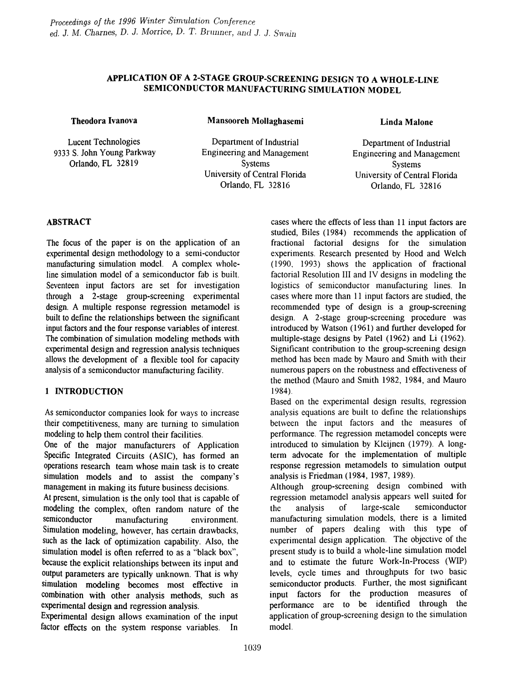# APPLICATION OF A 2-STAGE GROUP-SCREENING DESIGN TO A WHOLE-LINE SEMICONDUCTOR MANUFACTURING SIMULATION MODEL

#### Theodora Ivanova

Lucent Technologies 9333 S. John Young Parkway Orlando, FL 32819

Mansooreh Mollaghasemi

Department of Industrial Engineering and Management Systems University of Central Florida Orlando, FL 32816

#### Linda Malone

Department of Industrial Engineering and Management Systems University of Central Florida Orlando, FL 32816

## ABSTRACT

The focus of the paper is on the application of an experimental design methodology to a semi-conductor manufacturing simulation model. A complex wholeline simulation model of a semiconductor fab is built. Seventeen input factors are set for investigation through a 2-stage group-screening experimental design. A multiple response regression metamodel is built to define the relationships between the significant input factors and the four response variables of interest. The combination of simulation modeling methods with experimental design and regression analysis techniques allows the development of a flexible tool for capacity analysis of a semiconductor manufacturing facility.

# 1 INTRODUCTION

As semiconductor companies look for ways to increase their competitiveness, many are turning to simulation modeling to help them control their facilities.

One of the major manufacturers of Application Specific Integrated Circuits (ASIC), has formed an operations research team whose main task is to create simulation models and to assist the company's management in making its future business decisions.

At present, simulation is the only tool that is capable of modeling the complex, often random nature of the semiconductor manufacturing environment. Simulation modeling, however, has certain drawbacks, such as the lack of optimization capability. Also, the simulation model is often referred to as a "black box", because the explicit relationships between its input and output parameters are typically unknown. That is why simulation modeling becomes most effective in combination with other analysis methods, such as experimental design and regression analysis.

Experimental design allows examination of the input factor effects on the system response variables. In cases where the effects of less than 11 input factors are studied, Biles (1984) recommends the application of fractional factorial designs for the simulation experiments. Research presented by Hood and Welch  $(1990, 1993)$  shows the application of fractional factorial Resolution III and IV designs in modeling the logistics of semiconductor manufacturing lines. In cases where more than 11 input factors are studied, the recommended type of design is a group-screening design. A 2-stage group-screening procedure was introduced by Watson (1961) and further developed for multiple-stage designs by Patel (1962) and Li (1962). Significant contribution to the group-screening design method has been made by Mauro and Smith with their numerous papers on the robustness and effectiveness of the method (Mauro and Smith 1982, 1984, and Mauro 1984).

Based on the experimental design results, regression analysis equations are built to define the relationships between the input factors and the measures of performance. The regression metamodel concepts were introduced to simulation by Kleijnen (1979). A longterm advocate for the implementation of multiple response regression metamodels to simulation output analysis is Friedman (1984, 1987, 1989).

Although group-screening design combined with regression metarnodel analysis appears \vell suited for the analysis of large-scale semiconductor manufacturing simulation models, there is a limited number of papers dealing with this type of experimental design application. The objective of the present study is to build a whole-line simulation model and to estimate the future Work-In-Process (WIP) levels, cycle times and throughputs for two basic semiconductor products. Further, the most significant input factors for the production measures of performance are to be identified through the application of group-screening design to the simulation model.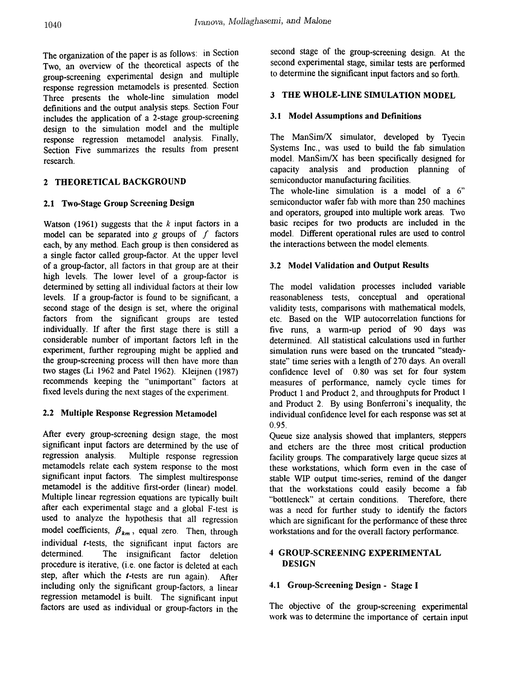The organization of the paper is as follows: in Section Two, an overview of the theoretical aspects of the group-screening experimental design and multiple response regression metamodels is presented. Section Three presents the whole-line simulation model definitions and the output analysis steps. Section Four includes the application of a 2-stage group-screening design to the simulation model and the multiple response regression metamodel analysis. Finally, Section Five summarizes the results from present research.

# 2 THEORETICAL BACKGROUND

# 2.1 Two-Stage Group Screening Design

Watson (1961) suggests that the *k* input factors in a model can be separated into  $g$  groups of  $f$  factors each, by any method. Each group is then considered as a single factor called group-factor. At the upper level of a group-factor, all factors in that group are at their high levels. The lower level of a group-factor is determined by setting all individual factors at their low levels. If a group-factor is found to be significant, a second stage of the design is set, where the original factors from the significant groups are tested individually. If after the first stage there is still a considerable number of important factors left in the experiment, further regrouping might be applied and the group-screening process will then have more than two stages (Li 1962 and Patel 1962). Kleijnen (1987) recommends keeping the "unimportant" factors at fixed levels during the nex1 stages of the experiment.

# 2.2 Multiple Response Regression Metamodel

After every group-screening design stage, the most significant input factors are determined by the use of regression analysis. Multiple response regression metamodels relate each system response to the most significant input factors. The simplest multiresponse metamodel is the additive first-order (linear) model. Multiple linear regression equations are typically built after each experimental stage and a global F-test is used to analyze the hypothesis that all regression model coefficients,  $\beta_{km}$ , equal zero. Then, through individual *t-tests,* the significant input factors are determined. The insignificant factor deletion procedure is iterative, (i.e. one factor is deleted at each step, after which the *t-tests* are run again). After including only the significant group-factors, a linear regression metamodel is built. The significant input factors are used as individual or group-factors in the

second stage of the group-screening design. At the second experimental stage, similar tests are performed to determine the significant input factors and so forth.

## 3 THE WHOLE-LINE SIMULATION MODEL

## 3.1 Model Assumptions and Definitions

The ManSim $/X$  simulator, developed by Tyecin Systems Inc., was used to build the fab simulation model. ManSim/X has been specifically designed for capacity analysis and production planning of semiconductor manufacturing facilities.

The whole-line simulation is a model of a 6" semiconductor wafer fab with more than 250 machines and operators, grouped into multiple work areas. Two basic recipes for two products are included in the model. Different operational rules are used to control the interactions between the model elements.

## 3.2 Model Validation and Output Results

The model validation processes included variable reasonableness tests, conceptual and operational validity tests, comparisons with mathematical models, etc. Based on the WIP autocorrelation functions for five runs, a warm-up period of 90 days was determined. All statistical calculations used in further simulation runs were based on the truncated "steadystate" time series with a length of 270 days. An overall confidence level of 0.80 was set for four system measures of performance, namely cycle times for Product 1 and Product 2, and throughputs for Product 1 and Product 2. By using Bonferroni's inequality, the individual confidence level for each response was set at 0.95.

Queue size analysis showed that implanters, steppers and etchers are the three most critical production facility groups. The comparatively large queue sizes at these workstations, which form even in the case of stable WIP output time-series, remind of the danger that the workstations could easily become a fab "bottleneck" at certain conditions. Therefore, there was a need for further study to identify the factors which are significant for the performance of these three workstations and for the overall factory performance.

# 4 GROUP-SCREENING EXPERIMENTAL DESIGN

# 4.1 Group-Screening Design - Stage I

The objective of the group-screening experimental work was to determine the importance of certain input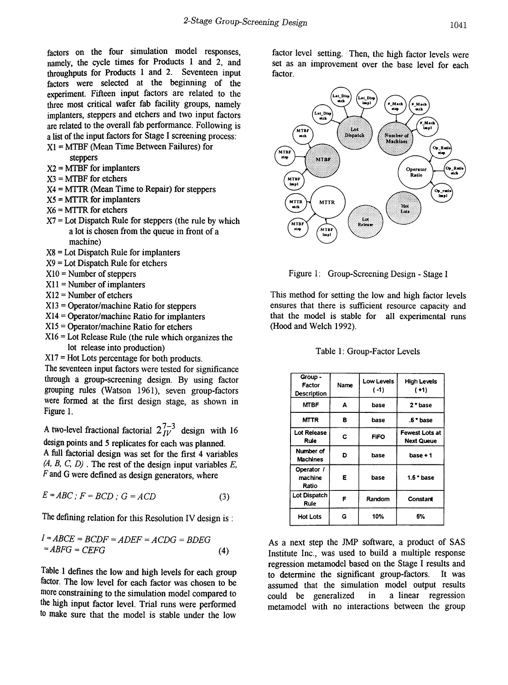factors on the four simulation model responses, namely, the cycle times for Products 1 and 2, and throughputs for Products 1 and 2. Seventeen input factors were selected at the beginning of the experiment. Fifteen input factors are related to the three most critical wafer fab facility groups, namely implanters, steppers and etchers and two input factors are related to the overall fab performance. Following is a list of the input factors for Stage I screening process:

Xl = MTBF (Mean Time Between Failures) for steppers

 $X2 = MTBF$  for implanters

- $X3 = MTBF$  for etchers
- $X4 = MTTR$  (Mean Time to Repair) for steppers
- $X5 = MTTR$  for implanters
- $X6 = MTTR$  for etchers
- $X7 =$  Lot Dispatch Rule for steppers (the rule by which a lot is chosen from the queue in front of a machine)
- X8 = Lot Dispatch Rule for implanters
- X9 = Lot Dispatch Rule for etchers
- $X10 =$  Number of steppers
- $X11 =$  Number of implanters
- $X12 =$  Number of etchers
- XI3 =Operator/machine Ratio for steppers
- $X14 = Operator/machine Ratio for implements$
- $X15 =$ Operator/machine Ratio for etchers
- $X16 =$  Lot Release Rule (the rule which organizes the lot release into production)
- Xl7 = Hot Lots percentage for both products.

The seventeen input factors were tested for significance through a group-screening design. By using factor grouping rules (Watson 1961), seven group-factors were formed at the first design stage, as shown in Figure 1.

A two-level fractional factorial  $2^{7-3}_{11}$  design with 16 design points and 5 replicates for each was planned.

Afull factorial design was set for the first 4 variables ?4, *B,* C, *D)* . The rest of the design input variables *E, F*and G were defined as design generators, where

$$
E = ABC; F = BCD; G = ACD \tag{3}
$$

The defining relation for this Resolution IV design is :

$$
I = ABCE = BCDF = ADEF = ACDG = BDEG
$$
  
= ABFG = CEFG (4)

Table 1 defines the low and high levels for each group factor. The low level for each factor was chosen to be more constraining to the simulation model compared to the high input factor level. Trial runs were perfonned to make sure that the model is stable under the low

factor level setting. Then, the high factor levels were set as an improvement over the base level for each factor.



Figure 1: Group-Screening Design - Stage I

This method for setting the low and high factor levels ensures that there is sufficient resource capacity and that the model is stable for all experimental runs (Hood and Welch 1992).

| Group -<br>Factor<br>Description | Name | <b>Low Levels</b><br>$(-1)$ | <b>High Levels</b><br>$( + 1)$             |
|----------------------------------|------|-----------------------------|--------------------------------------------|
| <b>MTBF</b>                      | А    | base                        | 2*base                                     |
| <b>MTTR</b>                      | в    | base                        | .5 * base                                  |
| <b>Lot Release</b><br>Rule       | С    | <b>FIFO</b>                 | <b>Fewest Lots at</b><br><b>Next Queue</b> |
| Number of<br>Machines            | D    | base                        | base + 1                                   |
| Operator /<br>machine<br>Ratio   | E    | base                        | $1.5$ * base                               |
| Lot Dispatch<br>Rule             | F    | Random                      | Constant                                   |
| <b>Hot Lots</b>                  | G    | 10%                         | 5%                                         |

#### Table 1: Group-Factor Levels

As a next step the IMP software, a product of SAS Institute Inc., was used to build a multiple response regression metamodel based on the Stage I results and to determine the significant group-factors. It was assumed that the simulation model output results could be generalized in a linear regression metamodel with no interactions between the group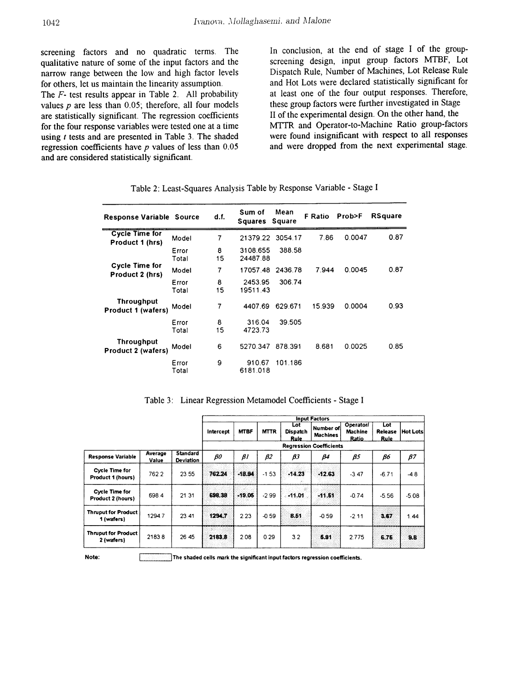screening factors and no quadratic terms. The qualitative nature of some of the input factors and the narrow range between the low and high factor levels for others, let us maintain the linearity assumption.

The *F-* test results appear in Table 2. All probability values  $p$  are less than  $0.05$ ; therefore, all four models are statistically significant. The regression coefficients for the four response variables were tested one at a time using *t* tests and are presented in Table 3. The shaded regression coefficients have *p* values of less than 0.05 and are considered statistically significant.

In conclusion, at the end of stage I of the groupscreening design, input group factors MTBF, Lot Dispatch Rule, Number of Machines, Lot Release Rule and Hot Lots were declared statistically significant for at least one of the four output responses. Therefore, these group factors were further investigated in Stage II of the experimental design. On the other hand, the MTfR and Operator-to-Machine Ratio group-factors were found insignificant with respect to all responses and were dropped from the next experimental stage.

| <b>Response Variable Source</b>                |                | d.f.    | Sum of<br>Squares Square | Mean    | F Ratio | Prob>F | <b>RSquare</b> |
|------------------------------------------------|----------------|---------|--------------------------|---------|---------|--------|----------------|
| <b>Cycle Time for</b><br>Product 1 (hrs)       | Model          | 7       | 21379.22 3054.17         |         | 7.86    | 0.0047 | 0.87           |
|                                                | Error<br>Total | 8<br>15 | 3108.655<br>24487.88     | 388.58  |         |        |                |
| <b>Cycle Time for</b><br>Product 2 (hrs)       | Model          | 7       | 17057.48                 | 2436.78 | 7.944   | 0.0045 | 0.87           |
|                                                | Error<br>Total | 8<br>15 | 2453.95<br>19511.43      | 306.74  |         |        |                |
| Throughput<br>Product 1 (wafers)               | Model          | 7       | 4407.69                  | 629.671 | 15.939  | 0.0004 | 0.93           |
|                                                | Error<br>Total | 8<br>15 | 316.04<br>4723.73        | 39.505  |         |        |                |
| <b>Throughput</b><br><b>Product 2 (wafers)</b> | Model          | 6       | 5270.347                 | 878.391 | 8.681   | 0.0025 | 0.85           |
|                                                | Error<br>Total | 9       | 910.67<br>6181.018       | 101.186 |         |        |                |

| Table 2: Least-Squares Analysis Table by Response Variable - Stage I |  |  |  |  |
|----------------------------------------------------------------------|--|--|--|--|
|----------------------------------------------------------------------|--|--|--|--|

|                                            |                  |                                     | <b>Input Factors</b> |             |             |                                       |                              |                                             |                               |           |  |  |
|--------------------------------------------|------------------|-------------------------------------|----------------------|-------------|-------------|---------------------------------------|------------------------------|---------------------------------------------|-------------------------------|-----------|--|--|
|                                            |                  |                                     | Intercept            | <b>MTBF</b> | <b>MTTR</b> | Lot<br><b>Dispatch</b><br><b>Rule</b> | Number of<br><b>Machines</b> | <b>Operator/</b><br><b>Machine</b><br>Ratio | Lot<br>Release<br><b>Rule</b> | Hot Lots  |  |  |
|                                            |                  |                                     |                      |             |             |                                       |                              |                                             |                               |           |  |  |
| <b>Response Variable</b>                   | Average<br>Value | <b>Standard</b><br><b>Deviation</b> | $\rho$               | $\beta$     | $\beta$ 2   | βЗ                                    | β4                           | β5                                          | βб                            | $\beta$ 7 |  |  |
| <b>Cycle Time for</b><br>Product 1 (hours) | 762.2            | 23.55                               | 762.24               | $+13.94$    | $-1.53$     | .14.23                                | $+12.63$                     | $-3.47$                                     | $-6.71$                       | $-4.8$    |  |  |
| <b>Cycle Time for</b><br>Product 2 (hours) | 698.4            | 21.31                               | 698.38               | $-19.05$    | $-2.99$     | $-11.01$                              | $-11.51$                     | $-0.74$                                     | $-5.56$                       | $-5.08$   |  |  |
| <b>Thruput for Product</b><br>1 (wafers)   | 1294.7           | 23.41                               | 1294.7               | 2.23        | $-0.59$     | <b>B.51</b>                           | $-0.59$                      | $-2.11$                                     | 3.67                          | 1.44      |  |  |
| <b>Thruput for Product</b><br>2 (wafers)   | 2183.8           | 26.45                               | 2183.8               | 2.08        | 0.29        | 3.2                                   | 5.91                         | 2.775                                       | 6.76                          | B.6       |  |  |

Table 3: Linear Regression Metamodel Coefficients - Stage I

Note: ........................;...,.I The shaded cells mark the significant Input factors regression coefficients.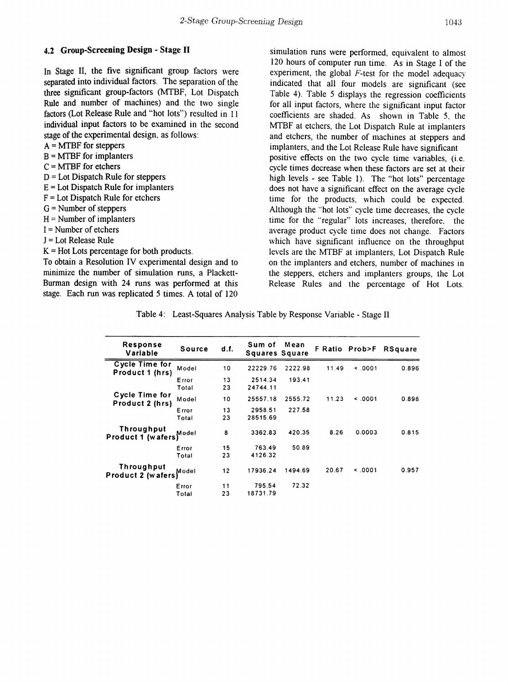### 4.2 Group-Screening Design - Stage II

In Stage II, the five significant group factors were separated into individual factors. The separation of the three significant group-factors (MTBF, Lot Dispatch Rule and number of machines) and the two single factors (Lot Release Rule and "hot lots") resulted in 11 individual input factors to be examined in the second stage of the experimental design, as follows:

#### $A = MTBF$  for steppers

- $B = MTBF$  for implanters
- $C = MTBF$  for etchers
- $D =$ Lot Dispatch Rule for steppers
- $E =$ Lot Dispatch Rule for implanters
- $F =$ Lot Dispatch Rule for etchers
- $G =$  Number of steppers
- $H =$  Number of implanters
- I = Number of etchers
- J = Lot Release Rule
- $K =$  Hot Lots percentage for both products.

To obtain a Resolution IV experimental design and to minimize the number of simulation runs, a Plackett-Burman design with 24 runs was performed at this stage. Each run was replicated 5 times. A total of 120

simulation runs were performed, equivalent to almost 120 hours of computer run time. As in Stage I of the experiment, the global *F-test* for the model adequacy indicated that all four models are significant (see Table 4). Table 5 displays the regression coefficients for all input factors, where the significant input factor coefficients are shaded. As shown in Table 5, the MTBF at etchers, the Lot Dispatch Rule at implanters and etchers, the number of machines at steppers and implanters, and the Lot Release Rule have significant positive effects on the two cycle time variables, (i.e. cycle times decrease when these factors are set at their high levels - see Table 1). The "hot lots" percentage does not have a significant effect on the average cycle time for the products, which could be expected. Although the "hot lots" cycle time decreases, the cycle time for the "regular" lots increases, therefore, the average product cycle time does not change. Factors which have significant influence on the throughput levels are the MTBF at implanters, Lot Dispatch Rule on the implanters and etchers, number of machines in the steppers, etchers and implanters groups, the Lot Release Rules and the percentage of Hot Lots.

Table 4: Least-Squares Analysis Table by Response Variable - Stage II

| Response<br>Variable                     | Source         | d.f.     | Sum of<br><b>Squares Square</b> | Mean    |       | F Ratio Prob>F | <b>RSquare</b> |
|------------------------------------------|----------------|----------|---------------------------------|---------|-------|----------------|----------------|
| <b>Cycle Time for</b><br>Product 1 (hrs) | Model          | 10       | 22229.76                        | 2222.98 | 11.49 | 5.0001         | 0.896          |
|                                          | Error<br>Total | 13<br>23 | 2514.34<br>24744.11             | 193.41  |       |                |                |
| Cycle Time for<br>Product 2 (hrs)        | Model          | 10       | 25557.18                        | 2555.72 | 11.23 | 5.0001         | 0.898          |
|                                          | Error<br>Total | 13<br>23 | 2958.51<br>28515.69             | 227.58  |       |                |                |
| <b>Throughput</b><br>Product 1 (wafers)  | Model          | 8        | 3362.83                         | 420.35  | 8.26  | 0.0003         | 0.815          |
|                                          | Error<br>Total | 15<br>23 | 763.49<br>4126.32               | 50.89   |       |                |                |
| Throughput<br>Product 2 (wafers)         | Model          | 12       | 17936.24                        | 1494.69 | 20.67 | 5.0001         | 0.957          |
|                                          | Error<br>Total | 11<br>23 | 795.54<br>18731.79              | 72.32   |       |                |                |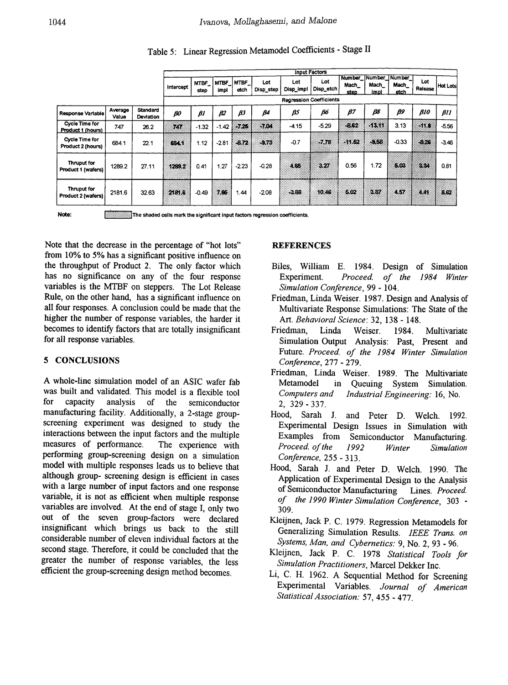|                                            |                  |                       | <b>Input Factors</b> |               |                     |               |                  |                                |                  |               |                |                                       |                |                 |
|--------------------------------------------|------------------|-----------------------|----------------------|---------------|---------------------|---------------|------------------|--------------------------------|------------------|---------------|----------------|---------------------------------------|----------------|-----------------|
|                                            |                  |                       | Intercept            | MTBF_<br>step | <b>MTBF</b><br>impl | MTBF_<br>etch | Lot<br>Disp_step | Lot<br>Disp_impl               | Lot<br>Disp_etch | Mach_<br>step | Mach_<br>impl. | Number Number Number<br>Mach_<br>etch | Lot<br>Release | <b>Hot Lots</b> |
|                                            |                  |                       |                      |               |                     |               |                  | <b>Regression Coefficients</b> |                  |               |                |                                       |                |                 |
| Response Variable                          | Average<br>Value | Standard<br>Deviation | $\rho$ o             | $\beta$       | β2                  | βЗ            | β4               | βS                             | β6               | В7            | β8             | β9                                    | B10            | $\beta$ 11      |
| <b>Cycle Time for</b><br>Product 1 (hours) | 747              | 26.2                  | 7G)                  | $-1.32$       | $-1.42$             | $-7.75$       | -7.04            | $-4.15$                        | $-5.29$          | -6.62         | akku:          | 3.13                                  | (118)          | $-5.56$         |
| Cycle Time for<br>Product 2 (hours)        | 684.1            | 22.1                  | 634.1                | 1.12          | $-2.81$             | $-6.72$       | $-9.73$          | $-0.7$                         | $-7.78$          | 31.52         | $-9.58$        | $-0.33$                               | 3.26           | $-3.46$         |
| Thruput for<br>Product 1 (wafers)          | 1289.2           | 27.11                 | 12.3.2               | 0.41          | 1.27                | $-2.23$       | $-0.28$          | 4.65                           | 327              | 0.56          | 1.72           | 5.02                                  | 234            | 0.81            |
| Thruput for<br>Product 2 (wafers)          | 2181.6           | 32.63                 | 288                  | $-0.49$       | 7.00                | 1.44          | $-2.08$          | 3.88                           | 10.46            | 5.02          | 3.37           | 457                                   | 4.44           | 8.62            |

Table 5: Linear Regression Metamodel Coefficients - Stage II

Note: l:::::;::::::::::::::::::::::::!The shaded ceJls mart< the significant Input factors regression coefficients.

Note that the decrease in the percentage of "hot lots" from 10% to 5% has a significant positive influence on the throughput of Product 2. The only factor which has no significance on any of the four response variables is the MTBF on steppers. The Lot Release Rule, on the other hand, has a significant influence on all four responses. A conclusion could be made that the higher the number of response variables, the harder it becomes to identify factors that are totally insignificant for all response variables.

# 5 CONCLUSIONS

A whole-line simulation model of an ASIC wafer fab was built and validated. This model is a flexible tool for capacity analysis of the semiconductor manufacturing facility. Additionally, a 2-stage groupscreening experiment was designed to study the interactions between the input factors and the multiple measures of performance. The experience with performing group-screening design on a simulation model with multiple responses leads us to believe that although group- screening design is efficient in cases with a large number of input factors and one response variable, it is not as efficient when multiple response variables are involved. At the end of stage I, only two out of the seven group-factors were declared insignificant which brings us back to the still considerable number of eleven individual factors at the second stage. Therefore, it could be concluded that the greater the number of response variables, the less efficient the group-screening design method becomes.

## REFERENCES

- Biles, William E. 1984. Design of Simulation Experiment. *Proceed. of the* 1984 *Winter Simulation Conference,* 99 - 104.
- Friedman, Linda Weiser. 1987. Design and Analysis of Multivariate Response Simulations: The State of the Art. *Behavioral Science:* 32, 138 - 148.
- Friedman, Linda Weiser. 1984. Multivariate Simulation Output Analysis: Past, Present and Future. *Proceed of the* 1984 *Winter Simulation Conference,* 277 - 279.
- Friedman, Linda Weiser. 1989. The Multivariate Metamodel in Queuing System Simulation. *Computers and Industrial Engineering:* 16, No. 2, 329 - 337.
- Hood, Sarah J. and Peter D. Welch. 1992. Experimental Design Issues in Simulation with Examples from Semiconductor Manufacturing. *Proceed. ofthe* 1992 *Winter Simulation Conference,* 255 - 313.
- Hood, Sarah J. and Peter D. Welch. 1990. The Application of Experimental Design to the Analysis of Semiconductor Manufacturing Lines. *Proceed. of the 1990 Winter Simulation Conference,* 303 - 309.
- Kleijnen, Jack P. C. 1979. Regression Metamodels for Generalizing Simulation Results. *IEEE Trans. on Systems, Man, and Cybernetics:* 9, No.2, 93 - 96.
- Kleijnen, Jack P. C. 1978 *Statistical Tools for Simulation Practitioners,* Marcel Dekker Inc.
- Li, C. H. 1962. A Sequential Method for Screening Experimental Variables. *Journal of American Statistical Association:* 57, 455 - 477.